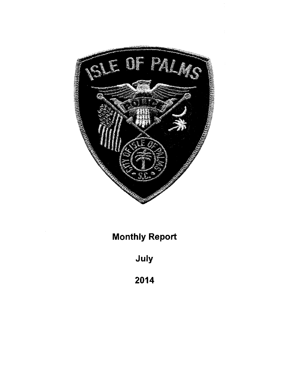

**Monthly Report** 

July

2014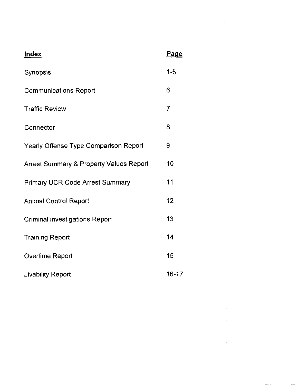| <b>Index</b>                                       | <b>Page</b>    |
|----------------------------------------------------|----------------|
| Synopsis                                           | $1 - 5$        |
| <b>Communications Report</b>                       | 6              |
| <b>Traffic Review</b>                              | $\overline{7}$ |
| Connector                                          | 8              |
| Yearly Offense Type Comparison Report              | 9              |
| <b>Arrest Summary &amp; Property Values Report</b> | 10             |
| <b>Primary UCR Code Arrest Summary</b>             | 11             |
| <b>Animal Control Report</b>                       | 12             |
| <b>Criminal investigations Report</b>              | 13             |
| <b>Training Report</b>                             | 14             |
| Overtime Report                                    | 15             |
| <b>Livability Report</b>                           | 16-17          |

 $\frac{1}{2} \left( \frac{1}{2} \right)$ 

 $\label{eq:2.1} \begin{split} \mathcal{L}_{\text{max}}(\mathbf{r}) & = \frac{1}{2} \mathcal{L}_{\text{max}}(\mathbf{r}) \mathcal{L}_{\text{max}}(\mathbf{r}) \,, \\ \mathcal{L}_{\text{max}}(\mathbf{r}) & = \frac{1}{2} \mathcal{L}_{\text{max}}(\mathbf{r}) \mathcal{L}_{\text{max}}(\mathbf{r}) \,, \end{split}$ 

 $\label{eq:2.1} \frac{1}{\sqrt{2\pi}}\int_{0}^{\infty}\frac{1}{\sqrt{2\pi}}\left(\frac{1}{\sqrt{2\pi}}\right)^{2\pi} \frac{1}{\sqrt{2\pi}}\int_{0}^{\infty}\frac{1}{\sqrt{2\pi}}\frac{1}{\sqrt{2\pi}}\frac{1}{\sqrt{2\pi}}\frac{1}{\sqrt{2\pi}}\frac{1}{\sqrt{2\pi}}\frac{1}{\sqrt{2\pi}}\frac{1}{\sqrt{2\pi}}\frac{1}{\sqrt{2\pi}}\frac{1}{\sqrt{2\pi}}\frac{1}{\sqrt{2\pi}}\frac{1}{\sqrt{2\pi}}\frac{$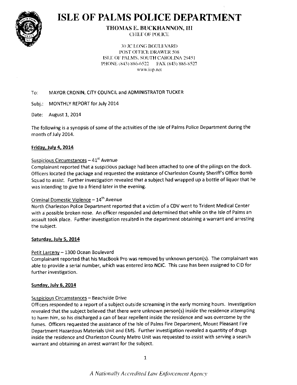

## **ISLE OF PALMS POLICE DEPARTMENT**

**THOMAS E. BUCKHANNON, III CHIEF OF POLICE** 

**30 JC LONG BOULEVARD POST OFFICE DRAWER 508** ISLE OF PALMS, SOUTH CAROLINA 29451 PHONE (843) 886-6522 FAX (843) 886-8527 www.iop.net

#### MAYOR CRONIN, CITY COUNCIL and ADMINISTRATOR TUCKER  $To:$

Subj.: MONTHLY REPORT for July 2014

Date: August 1, 2014

The following is a synopsis of some of the activities of the Isle of Palms Police Department during the month of July 2014.

#### Friday, July 4, 2014

#### Suspicious Circumstances - 41st Avenue

Complainant reported that a suspicious package had been attached to one of the pilings on the dock. Officers located the package and requested the assistance of Charleston County Sheriff's Office Bomb Squad to assist. Further investigation revealed that a subject had wrapped up a bottle of liquor that he was intending to give to a friend later in the evening.

#### Criminal Domestic Violence - 14<sup>th</sup> Avenue

North Charleston Police Department reported that a victim of a CDV went to Trident Medical Center with a possible broken nose. An officer responded and determined that while on the Isle of Palms an assault took place. Further investigation resulted in the department obtaining a warrant and arresting the subject.

#### Saturday, July 5, 2014

#### Petit Larceny - 1300 Ocean Boulevard

Complainant reported that his MacBook Pro was removed by unknown person(s). The complainant was able to provide a serial number, which was entered into NCIC. This case has been assigned to CID for further investigation.

#### **Sunday, July 6, 2014**

#### Suspicious Circumstances - Beachside Drive

Officers responded to a report of a subject outside screaming in the early morning hours. Investigation revealed that the subject believed that there were unknown person(s) inside the residence attempting to harm him, so his discharged a can of bear repellent inside the residence and was overcome by the fumes. Officers requested the assistance of the Isle of Palms Fire Department, Mount Pleasant Fire Department Hazardous Materials Unit and EMS. Further investigation revealed a quantity of drugs inside the residence and Charleston County Metro Unit was requested to assist with serving a search warrant and obtaining an arrest warrant for the subject.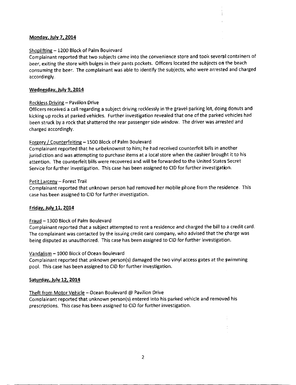#### Monday. Julv 7. 2014

#### Shopliftine - 1200 Block of Palm Boulevard

Complainant reported that two subjects came into the convenience store and took several containers of beer, exiting the store with bulges in their pants pockets. Officers located the subjects on the beach consuming the beer. The complainant was able to identify the subjects, who were arrested and charged accordingly.

#### Wednesday, July 9, 2014

#### Reckless Driving - Pavilion Drive

Officers received acall regarding a subject driving recklessly inthe gravel parking lot, doing donuts and kicking up rocks at parked vehicles. Further investigation revealed that one of the parked vehicles had been struck by a rock that shattered the rear passenger side window. The driver was arrested and charged accordingly.

#### Forgery / Counterfeiting - 1500 Block of Palm Boulevard

Complainant reported that he unbeknownst to him; he had received counterfeit bills in another jurisdiction and was attempting to purchase items at a local store when the cashier brought it to his attention. The counterfeit bills were recovered and will be forwarded to the United Statet Secret Service for further investigation. Thiscase has been assigned to CID for further investigation.

#### Petit Larceny - Forest Trail

Complainant reported that unknown person had removed her mobile phone from the residence. This case has been assigned to CID for further investigation.

#### Fridav. Julv 11, 2014

#### Fraud - 1300 Block of Palm Boulevard

Complainant reported that a subiect attempted to rent a residence and charged the bill to a credit card. The complainant was contacted by the issuing credit card company, who advised that the charge was being disputed as unauthorized. This case has been assigned to CID for further investigation.

#### Vandalism - 1000 Block of Ocean Boulevard

Complainant reported that unknown person(s) damaged the two vinyl access gates at the swimming pool. This case has been assigned to CID for further investigation.

#### Saturday, July 12, 2014

#### Theft from Motor Vehicle - Ocean Boulevard @ Pavilion Drive

complainant reported that unknown person(s) entered into his parked vehicle and removed his prescriptions. This case has been assigned to CID for further investigation.

÷.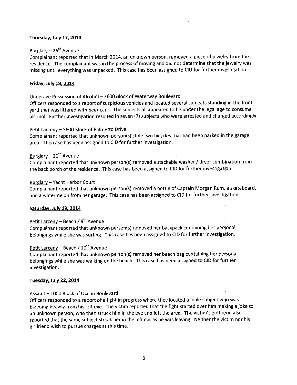#### Thursdav, Julv 17, 2014

#### Burglary  $- 26^{th}$  Avenue

complainant reported that in March 2014, an unknown person, removed a piece of jewelty from the residence. The complainant was in the process of moving and did not determine that the jewelry was missing until everything was unpacked. This case has been assigned to CID for further investigation.

#### Fridav. July 18. 2014

#### Underage Possession of Alcohol - 3600 Block of Waterway Boulevard

Officers responded to a report of suspicious vehicles and located several subjects standing in the front yard that was littered with beer cans. The subjects all appeared to be under the legal age to consume alcohol. Further investigation resulted in seven (7) subjects who were arrested and charged accordingly.

#### Petit Larcenv - 5800 Block of Palmetto Drive

Complainant reported that unknown person(s) stole two bicycles that had been parked in the garage area. This case has been assigned to CID for further investigation.

#### Burglary  $-20<sup>th</sup>$  Avenue

Complainant reported that unknown person(s) removed a stackable washer / dryer comblnation from the back porch of the residence. This case has been assigned to clD for further investigation.

#### Burelarv - Yacht Harbor Court

Complainant reported that unknown person(s) removed a bottle of Captain Morgan Rum, a skateboard, and a watermelon from her garage. This case has been assigned to CID for further investigation.

#### Saturdav, Julv 19. 2014

#### Petit Larceny - Beach /  $9<sup>th</sup>$  Avenue

Complainant reported that unknown person(s) removed her backpack containing her personal belongings while she was surfing. This case has been assigned to CID for further investigation.

#### Petit Larceny - Beach / 10<sup>th</sup> Avenue

Complainant reported that unknown person(s) removed her beach bag containing her personal belongings while she was walking on the beach. This case has been assigned to clD for further investigation.

#### Tuesdav, Julv 22,2014

#### Assault - 1000 Block of Ocean Boulevard

officers responded to a report of a fight in progress where they located a male subject who was bleeding heavily from his left eye. The victim reported that the fight started over him making a joke to an unknown person, who then struck him in the eye and left the area. The victim's girlfriend also reported that the same subject struck her in the left ear as he was leaving. Neither the victim nor his girlfriend wish to pursue charges at this time,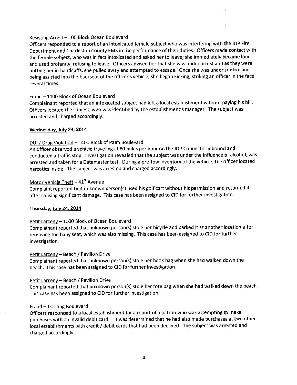#### Resisting Arrest - 100 Block Ocean Boulevard

Officers responded to a report of an intoxicated female subject who was interfering with the IOP Fire Department and Charleston County EMS in the performance oftheir duties. Officers made contact with the female subject, who was in fact intoxicated and asked her to leave; she immediately became loud and used profanity, refusing to leave. Officers advised her that she was under arrest and as they were putting her in handcuffs, she pulled away and attempted to escape. Once she was under control and being assisted into the backseat of the officer's vehicle, she began kicking, striking an officer in the face several times.

#### Fraud - 1100 Block of Ocean Boulevard

complainant reported that an intoxicated subject had left a local establishment without paying his bill. officers located the subject, who was identified by the establishment's manager. The subiect was arrested and charged accordingly.

#### Wednesdav, Julv 23. 2014

#### DUI / Drug Violation - 1400 Block of Palm Boulevard

An officer observed avehicle traveling at 80 miles per hour on the IOP Connector inbound and conducted a traffic stop. Investigation revealed that the subject was under the influence of alcohol, was arrested and taken for a Datamaster test. During a pre-tow inventory of the vehicle, the officer located narcotics inside. The subject was arrested and charged accordingly.

#### Motor Vehicle Theft  $-41<sup>st</sup>$  Avenue

Complaint reported that unknown person(s) used his golf cart without his permission and returned it after causing significant damage. This case has been assigned to CID for further investigation.

#### Thursdav, Julv 24, 2014

#### Petit Larceny - 1000 Block of Ocean Boulevard

Complainant reported that unknown person(s) stole her bicycle and parked it at another location after removing the baby seat, which was also missing. This case has been assigned to CID for further investigation.

#### Petit Larceny - Beach / Pavilion Drive

Complainant reported that unknown person(s) stole her book bag when she had walked down the beach. This case has been assigned to CID for further investigation.

#### Petit Larceny - Beach / Pavilion Drive

Complainant reported that unknown person(s) stole her tote bag when she had walked down the beach. This case has been assigned to CID for further investigation.

#### Fraud - J C Long Boulevard

Officers responded to a local establishment for a report of a patron who was attempting tp make purchases with an invalid debit card. It was determined that he had also made purchases at two other local establishments with credit / debit cards that had been declined. The subject was arrested and charged accordingly.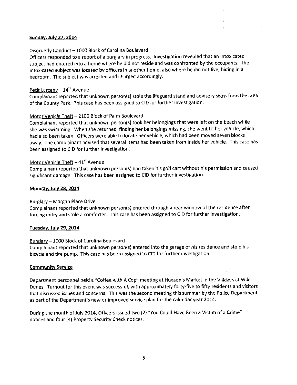#### Sundav, Julv 27, 2014

#### Disorderly Conduct - 1000 Block of Carolina Boulevard

Officers responded to a report of a burglary in progress. lnvestigation revealed that an intoxicated subject had entered into a home where he did not reside and was confronted by the occupants. The intoxicated subject was located by officers in another home, also where he did not live, hiding in a bedroom. The subject was arrested and charged accordingly.

#### Petit Larceny  $-14^{\text{th}}$  Avenue

Complainant repofted that unknown person(s) stole the lifeguard stand and advisory signs from the area of the County Park. This case has been assigned to CID for further investigation.

#### Motor Vehicle Theft - 2100 Block of Palm Boulevard

Complainant reported that unknown person(s) took her belongings that were left on the beach while she was swimming. When she returned, finding her belongings missing, she went to her vehicle, which had also been taken. Officers were able to locate her vehicle, which had been moved seven blocks awav. The complainant advised that several items had been taken from inside her vehicle. This case has been assigned to CID for further investigation.

#### Motor Vehicle Theft  $-41<sup>st</sup>$  Avenue

Complainant reported that unknown person{s) had taken his golf cart without his permission and caused significant damage. This case has been assigned to CID for further investigation.

#### Mondav. Julv 28, 2014

#### Burglarv - Morgan Place Drive

Complainant reported that unknown person(s) entered through a rear window of the residence after forcing entry and stole a comforter. This case has been assigned to CID for further investigation.

#### Tuesdav, July 29. 2014

#### Burslarv - 1000 Block of Carolina Boulevard

Complainant reported that unknown person(s) entered into the garage of his residence and stole his bicycle and tire pump. This case has been assigned to CID for further investigation.

#### **Community Service**

Department personnel held a "Coffee with A Cop" meeting at Hudson's Market in the Villages at Wild Dunes. Turnout for this event was successful, with approximately forty-five to fifty residents and visitors that discussed issues and concerns. This was the second meeting this summer by the Polioe Department as part of the Department's new or improved service plan for the calendar year 2014.

During the month of July 2014, Officers issued two (2) "You Could Have Been a Victim of a crime" notices and four (4) Property Security Check notices.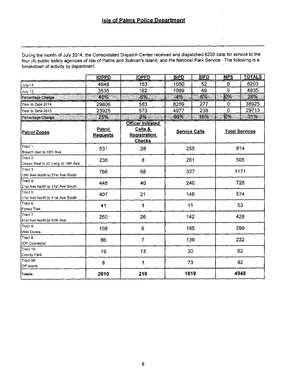### **Isle of Palms Police Department**

During the month of July 2014, the Consolidated Dispatch Center received and dispatched 6203 calls for service to the<br>four (4) public safety agencies of Isle of Palms and Sullivan's Island, and the National Park Service. T breakdown of activity by department.

|                                               | <b>IOPPD</b>              | <b>IOPFD</b>                                                                | <b>SIPD</b>          | <b>SIFD</b> | <b>NPS</b>     | <b>TOTALS</b>         |
|-----------------------------------------------|---------------------------|-----------------------------------------------------------------------------|----------------------|-------------|----------------|-----------------------|
| July-14                                       | 4948                      | $\overline{153}$                                                            | 1050                 | 52          | 0              | 6203                  |
| <b>July-13</b>                                | 3535                      | 162                                                                         | 1089                 | 49          | $\overline{0}$ | 4835                  |
| Percentage Change                             | 40%                       | TING K<br>$-6%$                                                             | $-4%$                | 6%          | <b>OW</b>      | 28%                   |
| Year to Date 2014                             | 29806                     | 583                                                                         | 8259                 | 277         | 0              | 38925                 |
| Year to Date 2013                             | 23925                     | 573                                                                         | 4977                 | 238         | 0              | 29713                 |
| Percentage Change                             | <b>25%</b>                | 2%                                                                          | 66%                  | 16%         | $0\%$          | 31%                   |
| Patrol Zones                                  | Patrol<br><b>Requests</b> | <b>Officer Initiated</b><br>Calls &<br><b>Registration</b><br><b>Checks</b> | <b>Service Calls</b> |             |                | <b>Total Services</b> |
| Tract 1:<br>Breach Inlet to 10th Ave          | 531                       | 28                                                                          | 255                  |             |                | 814                   |
| Tract 2:<br>Ocean Blvd to JC Long to 14th Ave | 236                       | 8                                                                           | 261                  |             |                | 505                   |
| Tract 3:<br>10th Ave North to 21st Ave South  | 766                       | 68                                                                          | 337                  |             | ÷              | 1171                  |
| Tract 4:<br>21st Ave North to 31st Ave South  | 448                       | 40                                                                          | 240                  |             |                | 728                   |
| Tract 5:<br>31st Ave North to 41st Ave South  | 407                       | 21                                                                          | 146                  |             |                | 574                   |
| Tract 6:<br>Forest Trail                      | 41                        | 1                                                                           | 11                   |             | 53             |                       |
| Tract 7:<br>41st Ave North to 57th Ave        | 260                       | 26                                                                          | 142                  |             | 428            |                       |
| Tract 8:<br>Wild Dunes                        | 108                       | 6                                                                           | 185                  |             |                | 299                   |
| Tract 9:<br><b>IOP Connector</b>              | 86                        | $\overline{7}$                                                              | 139                  |             |                | 232                   |
| Tract 10:<br>County Park                      | 19                        | 13                                                                          | 30                   |             |                | 62                    |
| $T$ ract 99:<br>Off island                    | 8                         | 1                                                                           | 73                   |             |                | 82                    |
| Totals:                                       | 2910                      | 219                                                                         | 1819                 |             |                | 4948                  |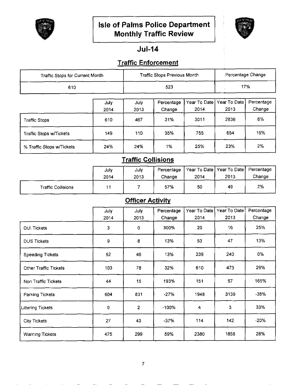

### **Isle of Palms Police Department Monthly Traffic Review**



### $Jul-14$

### **Traffic Enforcement**

| Traffic Stops for Current Month |              |              | <b>Traffic Stops Previous Month</b> |                      | Percentage Change    |                      |
|---------------------------------|--------------|--------------|-------------------------------------|----------------------|----------------------|----------------------|
| 610                             |              |              | 523                                 |                      |                      | 17%                  |
|                                 | July<br>2014 | July<br>2013 | Percentage<br>Change                | Year To Date<br>2014 | Year To Date<br>2013 | Percentage<br>Change |
| <b>Traffic Stops</b>            | 610          | 467          | 31%                                 | 3011                 | 2836                 | 6%                   |
| Traffic Stops w/Tickets         | 149          | 110          | 35%                                 | 755                  | 654                  | 15%                  |
| % Traffic Stops w/Tickets       | 24%          | 24%          | 1%                                  | 25%                  | 23%                  | 2%                   |

### **Traffic Collisions**

|                           | July<br>2014 | July<br>2013 | Percentage<br>Change | ' Year To Date   Year To Date  <br>2014 | 2013 | Percentage<br>Change |
|---------------------------|--------------|--------------|----------------------|-----------------------------------------|------|----------------------|
| <b>Traffic Collisions</b> |              |              | 57%                  | 50                                      | 49   | 2%                   |

### **Officer Activity**

|                         | July | July           | Percentage | Year To Date | Year To Date | Percentage |
|-------------------------|------|----------------|------------|--------------|--------------|------------|
|                         | 2014 | 2013           | Change     | 2014         | 2013         | Change     |
| <b>DUI Tickets</b>      | 3    | 0              | 300%       | 20           | 16           | 25%        |
| <b>DUS Tickets</b>      | 9    | 8              | 13%        | 53           | 47           | 13%        |
| <b>Speeding Tickets</b> | 52   | 46             | 13%        | 239          | 240          | 0%         |
| Other Traffic Tickets   | 103  | 78             | 32%        | 610          | 473          | 29%        |
| Non Traffic Tickets     | 44   | 15             | 193%       | 151          | 57           | 165%       |
| Parking Tickets         | 604  | 831            | $-27%$     | 1948         | 3139         | -38%       |
| Littering Tickets       | 0    | $\overline{2}$ | $-100%$    | 4            | 3            | 33%        |
| <b>City Tickets</b>     | 27   | 43             | $-37%$     | 114          | 142          | $-20%$     |
| <b>Warning Tickets</b>  | 475  | 299            | 59%        | 2380         | 1858         | 28%        |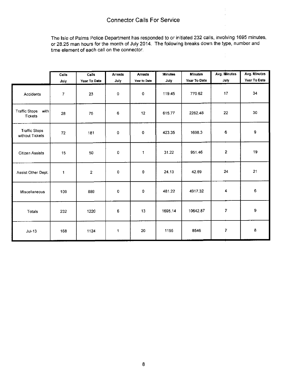The Isle of Palms Police Department has responded to or initiated 232 calls, involving 1695 minutes, or 28.25 man hours for the month of July 2014. The following breaks down the type, number and time element of each call on the connector.  $\frac{1}{2}$ 

|                                                | Calls | Calls                   | <b>Arrests</b> | <b>Arrests</b> | <b>Minutes</b> | <b>Minutes</b> | Avg. Minutes            | Avg. Minutes |
|------------------------------------------------|-------|-------------------------|----------------|----------------|----------------|----------------|-------------------------|--------------|
|                                                | July  | Year To Date            | July           | Year to Date   | July           | Year To Date   | July                    | Year To Date |
| Accidents                                      | 7     | 23                      | $\mathbf 0$    | $\circ$        | 119.45         | 770.62         | 17                      | 34           |
| <b>Traffic Stops</b><br>with<br><b>Tickets</b> | 28    | 75                      | 6              | 12             | 615.77         | 2262.48        | 22                      | 30           |
| <b>Traffic Stops</b><br>without Tickets        | 72    | 181                     | 0              | $\mathbf 0$    | 423.35         | 1698.3         | 6                       | 9            |
| Citizen Assists                                | 15    | 50                      | 0              | 1              | 31.22          | 951.46         | $\overline{2}$          | 19           |
| Assist Other Dept.                             | 1     | $\overline{\mathbf{c}}$ | 0              | 0              | 24.13          | 42.69          | 24                      | 21           |
| Miscellaneous                                  | 109   | 889                     | $\mathbf 0$    | 0              | 481.22         | 4917.32        | 4                       | 6            |
| Totals                                         | 232   | 1220                    | 6              | 13             | 1695.14        | 10642.87       | $\overline{\textbf{7}}$ | 9            |
| $Jul-13$                                       | 168   | 1124                    | 1              | 20             | 1155           | 8546           | 7                       | 8            |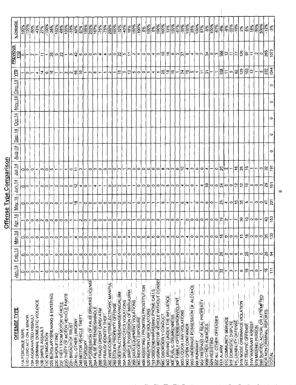|                                               |                |                          |                     |                                    | Offense Type Comparison  |                |                           |               |          |          |        |          |                          |                                                                                                     |                                                                                                                                            |
|-----------------------------------------------|----------------|--------------------------|---------------------|------------------------------------|--------------------------|----------------|---------------------------|---------------|----------|----------|--------|----------|--------------------------|-----------------------------------------------------------------------------------------------------|--------------------------------------------------------------------------------------------------------------------------------------------|
| OFFENSE TYPE                                  | Jan- <u>14</u> | 4<br>$Feb-1$             | $\frac{1}{4}$<br>Δ₫ | $Ap-14$                            | $M$ ay-14                | 14-مى <u>ل</u> | 14-ا <u>يال</u>           | <b>Aug-14</b> | $SEP-14$ | $Oct-14$ | Nov-14 | $Dec-14$ | È                        | <b>PREVIOUS</b><br>의                                                                                | % CHANGE                                                                                                                                   |
| 11A FORCIBLE RAPE                             | 0              | 0                        | 이                   |                                    |                          |                |                           |               |          |          |        |          |                          | ⇨                                                                                                   | $\frac{100\%}{100\%}$                                                                                                                      |
| 11D LEWD ACT ON A MINOR                       | $\circ$        | $\circ$                  | lф                  |                                    |                          | 이이             | 000                       |               |          |          |        |          | 이드                       |                                                                                                     | $-100%$                                                                                                                                    |
| 13A AGGRAVATED ASSAULT                        | 0              | 0                        | $\circ$             |                                    |                          |                |                           |               |          |          |        |          |                          | $-10 -$                                                                                             |                                                                                                                                            |
| 13B CRIMINAL DOMESTIC VIOLENCE                | $\sim$         | 0                        | $\circ$             |                                    | 00000                    |                |                           |               |          |          |        |          | 4                        |                                                                                                     | $ \frac{8}{9} $ $\frac{8}{7} $                                                                                                             |
| 13B SIMPLE ASSAULT                            |                | 0                        | S                   |                                    |                          | N              | o)                        |               |          |          |        |          | $\vec{r}$                |                                                                                                     |                                                                                                                                            |
| 13C INTIMIDATION                              | 0              | 0                        | $\circ$             |                                    |                          | $\circ$        | 0                         |               |          |          |        |          | ∣ء م∣                    |                                                                                                     | $\frac{486}{100\%}$                                                                                                                        |
| 220 BURGLARY/BREAKING & ENTERING              | c              |                          | $\sim$              |                                    | O Q                      |                | ю                         |               |          |          |        |          |                          |                                                                                                     |                                                                                                                                            |
| 23C SHOPLIFTING                               | 0              | 0                        | $\circ$             | a a a                              |                          | 이시 이이디  4      |                           |               |          |          |        |          | $\overline{\phantom{a}}$ |                                                                                                     | 100%                                                                                                                                       |
| 23F THEFT FROM MOTOR VEHICLE                  | 0              | 0                        | S                   |                                    |                          |                |                           |               |          |          |        |          |                          |                                                                                                     |                                                                                                                                            |
| 23G THEFT OF MOTOR VEHICLE PARTS              | 0              | 0                        | 0                   |                                    |                          |                |                           |               |          |          |        |          | 니이이임 =                   |                                                                                                     | $\frac{\frac{1}{2}}{\frac{1}{2}}$                                                                                                          |
| 23H BREACH OF TRUST                           | 0              | 0                        |                     | ا —                                |                          |                | 0                         |               |          |          |        |          |                          |                                                                                                     | )<br>ကို                                                                                                                                   |
| 23H ALL OTHER LARCENT                         | 4              | ∞                        | 4                   | $\left\vert \mathbb{M}\right\vert$ | ⊃ ≏∣                     |                |                           |               |          |          |        |          |                          |                                                                                                     | <br> ဒီ နီ                                                                                                                                 |
| 240 MOTOR VEHICLE THEFT                       | 0              | ۰                        | $\circ$             |                                    | ∼                        |                | 69,                       |               |          |          |        |          |                          |                                                                                                     |                                                                                                                                            |
| 250 FORGERY                                   | 0              | 0                        | 0                   | $\circ$                            |                          | ⇔              |                           |               |          |          |        |          | ↽                        |                                                                                                     | $\frac{9004}{100\%}$                                                                                                                       |
| 250 POSSESSION OF FALSE DRIVERS LICENSE       | 0              | 0                        | 0                   |                                    | 0 0 0 0 0 0              |                |                           |               |          |          |        |          | $\sim$   $\infty$        |                                                                                                     | 200%                                                                                                                                       |
| 26A FALSE PRETENSE/SWINDLE                    | ↽              | 0                        | 0                   | −lo                                |                          | 4              | ం∣ఌ                       |               |          |          |        |          |                          |                                                                                                     |                                                                                                                                            |
| <b>26B FRAUD CREDIT CARD/ ATM</b>             | 0              | ۰                        | ۰                   | $\circ$                            |                          |                | $\circ$                   |               |          |          |        |          | $\overline{ }$           |                                                                                                     | $\frac{88}{75\%}$                                                                                                                          |
| 26B FRAUD/IDENTITY THEFT                      | o              | ۰                        | $\circ$             |                                    |                          |                | ం∣                        |               |          |          |        |          |                          |                                                                                                     |                                                                                                                                            |
| 26E WIRE/COMPUTER/ELECTRONIC MANIPUL          | 0              | ٣                        | ↽                   |                                    |                          | $\bullet$      | $\circ$                   |               |          |          |        |          | $\sim$ $-$               |                                                                                                     |                                                                                                                                            |
| 280 STOLEN PROPERTY OFFENSE                   | 0              |                          | 0                   |                                    |                          |                |                           |               |          |          |        |          |                          |                                                                                                     | ∦<br> <br>  201                                                                                                                            |
| 290 DESTRUCTIVE/DAMAGE/VANDALISM              | 62             | 0                        | 0                   |                                    |                          |                | $ \mathbf{C} \mathbf{C} $ |               |          |          |        |          |                          |                                                                                                     | $\frac{ S }{ S }$                                                                                                                          |
| 35A DRUG/NARCOTICS VIOLATIONS                 | 0              | 0                        | 0                   |                                    | o o o o                  | $ O U $ u $ L$ |                           |               |          |          |        |          | 뛰어되어이어~                  |                                                                                                     |                                                                                                                                            |
| 35A SIMPLE POSSESSION OF MARIJUANA            | ⊷              | ۰                        | 4                   |                                    |                          |                | ∣ຕ∣ວ∣                     |               |          |          |        |          |                          |                                                                                                     | န္း                                                                                                                                        |
| 35B DRUG EQUIPMENT VIOLATIONS                 | 0              | 0                        | וא                  |                                    |                          |                |                           |               |          |          |        |          |                          |                                                                                                     | $\frac{8005}{1500}$                                                                                                                        |
| 36C INDECENT EXPOSURE                         | 0              | $\circ$                  | $\circ$             |                                    | $\circ$                  |                |                           |               |          |          |        |          |                          |                                                                                                     |                                                                                                                                            |
| 40B ASSISTING / PROMTING PROSTITUTION         | 0              | 0                        | $\circ$             |                                    | ⊳                        |                |                           |               |          |          |        |          |                          |                                                                                                     |                                                                                                                                            |
| 520 WEAPON LAW VIOLATIONS                     | 0              | 0                        | $\circ$             |                                    |                          |                |                           |               |          |          |        |          |                          |                                                                                                     |                                                                                                                                            |
| 753 OBSCENE/HARASSING PHONE CALLS             | ٣              | o                        | 0                   |                                    |                          |                |                           |               |          |          |        |          | ∢ ←                      |                                                                                                     |                                                                                                                                            |
| <b>756 USING MOTOR VEHICLE WITHOUT CONSET</b> | 0              | ۰                        | 0                   |                                    |                          |                |                           |               |          |          |        |          |                          |                                                                                                     | $\begin{array}{ c c }\hline \texttt{ss} & \texttt{ss} \\ \hline \texttt{ss} & \texttt{ss} \\ \hline \texttt{ss} & \texttt{ss} \end{array}$ |
| 90C DISORDERLY CONDUCT                        | G)             | ⊝                        | C)                  |                                    | ၈                        |                |                           |               |          |          |        |          | 워워쉬                      |                                                                                                     |                                                                                                                                            |
| 90D DRIVING UNDER THE INFLUENCE               | ო              | 0                        | 4                   |                                    | $\leftarrow$             |                |                           |               |          |          |        |          |                          |                                                                                                     | $\frac{13\%}{2\%}$                                                                                                                         |
| 90E PUBLIC DRUNKENNESS                        | 0              | 0                        | ∞                   |                                    | $\vert$ $\sim$           |                |                           |               |          |          |        |          |                          |                                                                                                     | SO<br> SO                                                                                                                                  |
| 90F FAMILY OFFENSES/NONVIOLENT                | ۰              | 0                        | 0                   |                                    | $\overline{\phantom{0}}$ |                |                           |               |          |          |        |          | $\overline{\phantom{0}}$ |                                                                                                     | $\frac{8}{25}$                                                                                                                             |
| 90G LIQUOR LAW VIOLATIONS                     | 0              | 0                        | ო                   |                                    | ∣'ಂ) +                   |                |                           |               |          |          |        |          | ಸ∣≌  ೂ                   |                                                                                                     | $\frac{88}{3500}$                                                                                                                          |
| <b>90G OPEN CONTAINER</b>                     |                | ÷                        | 4                   |                                    |                          |                |                           |               |          |          |        |          |                          |                                                                                                     |                                                                                                                                            |
| 90G UNDERAGE POSSESSION OF ALCOHOL            |                | 0                        | 0                   |                                    |                          |                |                           |               |          |          |        |          |                          |                                                                                                     | 25%                                                                                                                                        |
| 901 RUNAWAY                                   | 0              | 0                        | 0                   |                                    |                          |                |                           |               |          |          |        |          | ٣                        |                                                                                                     | $\frac{100\%}{57\%}$                                                                                                                       |
| 90J TRESPASS OF REAL PROPERTY                 |                | $\overline{\phantom{0}}$ | $\scriptstyle\sim$  |                                    |                          |                |                           |               |          |          |        |          | ド                        |                                                                                                     |                                                                                                                                            |
| 90M OTHER AGENCIES                            | ç,             | $\sim$                   | ∞                   |                                    |                          |                |                           |               |          |          |        |          | $ \mathbb{H} $ –         |                                                                                                     | န့်                                                                                                                                        |
| 90N RESISTING                                 | 0              | 0                        |                     |                                    |                          |                | ↽                         |               |          |          |        |          |                          |                                                                                                     | $\frac{100\%}{67\%}$                                                                                                                       |
| 902 ALL OTHER OFFENSES                        | 0              | 0                        | 0                   |                                    |                          |                | 이라시                       |               |          |          |        |          | ∼                        |                                                                                                     |                                                                                                                                            |
| 91A ALARM                                     | ္က             | ∣ସ                       |                     |                                    |                          |                |                           |               |          |          |        |          | 녧늬                       |                                                                                                     |                                                                                                                                            |
| <b>91C COMMUNITY SERVICE</b>                  |                | W                        | o                   |                                    |                          |                |                           |               |          |          |        |          |                          |                                                                                                     |                                                                                                                                            |
| 91F DOMESTIC DISPUTE                          | m              | 0                        | 0                   |                                    | ~ ㅇ ~ ပ ㅇ ~ ;; ㅜ ㅇ \$    |                | $\overline{\phantom{a}}$  |               |          |          |        |          | )ച¦ജി                    | │\$│0│\$│~│w│\$│∞│0│0│~│+│~│0│0│\$│ <sub>₩</sub> │±│~│~│0│0│+│0│9│\$│@│~│%│∞│+│0│~│\$│0│~│\$│0│~│\$ | နှူးမှူးမှူး<br> နှူးမှူးမှူး                                                                                                              |
| 91L LIVABILITY OFFENSE                        |                | 6                        | ო                   |                                    |                          |                | ∣ڥ                        |               |          |          |        |          |                          |                                                                                                     |                                                                                                                                            |
| 91N NOISE ORDINANCE VIOLATION                 | O              | ю                        | 15                  |                                    |                          | 일일             | $\frac{8}{2}$             |               |          |          |        |          | 129                      |                                                                                                     | 2%                                                                                                                                         |
| 91T TRAFFIC OFFENSE                           | پ              | $\frac{1}{2}$            |                     |                                    |                          |                |                           |               |          |          |        |          | [음                       |                                                                                                     | ႞ႜၟ႞ႜႜၛ                                                                                                                                    |
| 91W WARRANT ARREST                            | $\mathbf{C}$   | c                        |                     |                                    |                          |                |                           |               |          |          |        |          | $ \varepsilon $          |                                                                                                     |                                                                                                                                            |
| 979 MISSING PERSON                            | O              | 0                        |                     | 융 위하수                              |                          |                |                           |               |          |          |        |          |                          | $\frac{1}{2}$ $\frac{1}{2}$ $\frac{1}{2}$ $\frac{1}{2}$ $\frac{1}{2}$                               | $-50\%$                                                                                                                                    |
| 980 SUICIDE-ACTUAL OR ATTEMPTED               |                | ۰                        |                     |                                    | % @ ~ 이어쉬울               | ပတြပါအခြ       | 이의                        |               |          |          |        |          | $ \cdot _2^3$            |                                                                                                     | $\frac{8}{100}$                                                                                                                            |
| NCR NON CRIMINAL REPORTS                      | چ              | ని                       | $\frac{1}{2}$       | မျှပို့                            |                          |                |                           |               |          |          |        |          |                          | မျှ -<br> မျ                                                                                        | $-12\%$                                                                                                                                    |
| TOTA                                          | 111            | J                        | ာ့                  |                                    |                          |                | ခြ                        | $\circ$       | $\circ$  | $\circ$  | 0      | 0        | $\frac{1044}{6}$         |                                                                                                     | $ $ နိ                                                                                                                                     |

 $\infty$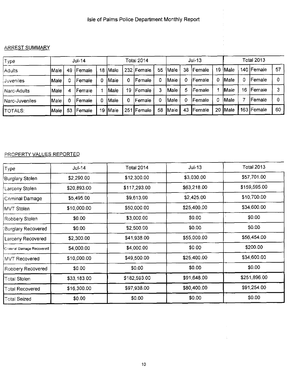#### ARREST SUMMARY

| Type           |       |    | Jul-14         |    |             |    | Total 2014 |    |       |    | Jul-13         |    |              |    | <b>Total 2013</b> |    |
|----------------|-------|----|----------------|----|-------------|----|------------|----|-------|----|----------------|----|--------------|----|-------------------|----|
| Adults         | lMale | 49 | <b>IFemale</b> | 18 | Male        |    | 232 Female | 55 | Male  | 38 | Female         | 19 | <b>IMale</b> |    | 140   Female      | 57 |
| Juveniles      | Male  |    | Female         | 0  | Male        | 0  | Female     |    | lMale |    | <b> Female</b> | 0  | <b>Male</b>  | 0  | Female            |    |
| Narc-Adults    | Male  | 4  | l Female       |    | <b>Male</b> | 19 | lFemale    |    | Male  | 5  | lFemale        |    | <b>Male</b>  | 16 | Female            |    |
| Narc-Juveniles | lMale |    | Female         | 0  | Male        | ٥  | Female     |    | IMale |    | Female         | 0  | Male         |    | Female            |    |
| <b>TOTALS:</b> | Male  | 53 | <b>Female</b>  | 19 | <b>Male</b> |    | 251 Female | 58 | Male  | 43 | Female         | 20 | <b>Male</b>  |    | 163 Female        | 60 |

### PROPERTY∨ ALUES REPORTED

| Type                      | <b>Jul-14</b> | <b>Total 2014</b> | $Jul-13$    | Total 2013   |
|---------------------------|---------------|-------------------|-------------|--------------|
| Burglary Stolen           | \$2,290.00    | \$12,300.00       | \$3,030.00  | \$57,701.00  |
| Larceny Stolen            | \$20,893.00   | \$117,293.00      | \$63,218.00 | \$159,595.00 |
| Criminal Damage           | \$5,495.00    | \$9,613.00        | \$2,425.00  | \$10,700.00  |
| MVT Stolen                | \$10,000.00   | \$50,000.00       | \$25,400.00 | \$34,600.00  |
| Robbery Stolen            | \$0.00        | \$3,000.00        | \$0.00      | \$0.00       |
| <b>Burglary Recovered</b> | \$0.00        | \$2,500.00        | \$0.00      | \$0.00       |
| Larceny Recovered         | \$2,300.00    | \$41,938.00       | \$55,000.00 | \$56,454.00  |
| Criminal Damage Recovered | \$4,000.00    | \$4,000.00        | \$0.00      | \$200.00     |
| MVT Recovered             | \$10,000.00   | \$49,500.00       | \$25,400.00 | \$34,600.00  |
| Robbery Recovered         | \$0.00        | \$0.00            | \$0.00      | \$0.00       |
| Total Stolen              | \$33,183.00   | \$182,593.00      | \$91,648.00 | \$251,896.00 |
| <b>Total Recovered</b>    | \$16,300.00   | \$97,938.00       | \$80,400.00 | \$91,254.00  |
| <b>Total Seized</b>       | \$0.00        | \$0.00            | \$0.00      | \$0.00       |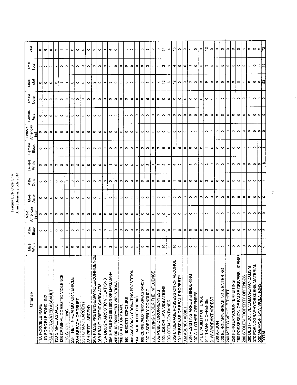| ż       | z  |
|---------|----|
| i       | ă  |
|         |    |
| ટે      |    |
|         | ٢  |
| Ļ۴      | ē  |
| $\zeta$ | Ś  |
| Š       |    |
|         | ý, |
|         | Ξ  |
|         |    |

|                                         |               |                          | Male               |               |               | Female<br>White |                 | Female             |                 | Female<br>Other    | Male<br>Total | Femal<br>Total |           |
|-----------------------------------------|---------------|--------------------------|--------------------|---------------|---------------|-----------------|-----------------|--------------------|-----------------|--------------------|---------------|----------------|-----------|
| Offense                                 | Male<br>White | Male<br>Black            | American<br>Indian | Maie<br>Asian | Male<br>Other |                 | Female<br>Black | American<br>Indian | Female<br>Asian |                    |               |                | Total     |
| <b>11A FORCIBLE RAPE</b>                | ۰             | ۰                        | o                  | 0             | 0             | ۰               | 0               | 0                  | ۰               |                    |               | 0              | $\circ$   |
| 11D FORCIBLE FONDLING                   | $\circ$       | $\bullet$                | $\circ$            | $\circ$       | ۰             | ۰               | $\circ$         | ۰                  | 0               | ۰                  | 0             | $\circ$        | ۰         |
| 13A AGGRAVATED ASSAULT                  | $\circ$       | $\circ$                  | O                  | 0             | ۰             | $\circ$         | $\circ$         | $\circ$            | ۰               | ۰                  | $\circ$       | $\circ$        | ۰         |
| 13B SIMPLE ASSAULT                      | $\circ$       | $\circ$                  | $\circ$            | ۰             | ۰             | $\sim$          | $\circ$         | $\circ$            | ۰               | $\circ$            | $\circ$       | $\sim$         | $\sim$    |
| 13B CRIMINAL DOMESTIC VIOLENCE          |               | ۰                        | ۰                  | ۰             | ۰             | ۰               | ۰               | ۰                  | ۰               | 0                  |               | ۰              |           |
| 23C SHOPLIFTING                         | $\circ$       | $\overline{\phantom{0}}$ | $\circ$            | ٥             | $\circ$       | ۰               | o               | 0                  | ۰               | ۰                  |               | 0              |           |
| 23F THEFT FROM MOTOR VEHICLE            | $\circ$       | $\circ$                  | $\circ$            | 0             | 0             | ۰               | $\circ$         | $\circ$            | 0               | $\circ$            | $\circ$       | ۰              | ۰         |
| 23H BREACH OF TRUST                     | 0             | $\circ$                  | 0                  | 0             | 0             | ۰               | ۰               | $\circ$            | o               | ۰                  | $\circ$       | ۰              | ۰         |
| 23H GRAND LARCENY                       | ۰             | $\circ$                  | $\circ$            | c             | $\bullet$     | ۰               | ۰               | o                  | ۰               | 0                  | O             | ۰              | ۰         |
| 23H PETIT LARCENY                       | ۰             | 0                        | ۰                  | 0             | 0             | ۰               | ۰               | 0                  | $\circ$         | 0                  | ۰             | 0              | ۰         |
| 26A FALSE PRETENSE/SWINDLE/CONFIDENCE   | $\sim$        | $\circ$                  | ۰                  | 0             | ۰             | ۰               | $\circ$         | ۰                  | ۰               | ۰                  | $\sim$        | 0              | $\sim$    |
| 26B FRAUD CREDIT CARD/ ATM              | $\circ$       | ۰                        | ۰                  | 0             | ۰             | $\circ$         | $\circ$         | ۰                  | ۰               | 0                  | $\circ$       | o              | ۰         |
| 35A DRUG/NARCOTIC VIOLATIONS            |               | ۰                        | ۰                  | 0             | o             | $\circ$         | $\circ$         | ۰                  | ۰               | 0                  |               | ۰              |           |
| 35A SIMPLE POSSESSION OF MARIJUANA      | $\sim$        |                          | 0                  | $\circ$       | $\circ$       |                 | $\circ$         | $\circ$            | ۰               | $\circ$            | c             |                | ෑ         |
| 35B DRUG EQUIPMENT VIOLATIONS           | $\circ$       | $\circ$                  | $\circ$            | $\circ$       | ۰             | $\circ$         | ۰               | $\circ$            | ۰               | ۰                  | ۰             | ۰              | ۰         |
| 36B STATUTORY RAPE                      | $\circ$       | 0                        | 0                  | 0             | 0             | ۰               | ۰               | 0                  | o               | ۰                  | ۰             | 0              | ۰         |
| 36C INDECENT EXPOSURE                   | $\circ$       | $\circ$                  | $\circ$            | 0             | 0             | $\circ$         | $\circ$         | $\circ$            | ۰               | ۰                  | $\circ$       | o              | ۰         |
| 40B ASSISTING / PROMOTING PROSTITION    | $\circ$       | $\circ$                  | $\circ$            | $\circ$       | ۰             | $\circ$         | $\circ$         | ۰                  | ۰               | ۰                  | $\circ$       | ۰              | ۰         |
| 90A FRAUDULENT CHECKS                   | $\circ$       | ۰                        | ۰                  | 0             | 0             | $\circ$         | ۰               | ۰                  | $\circ$         | ۰                  | $\circ$       | 0              | ۰         |
| 90B CURFEWILOITERING/VAGRANCY           | $\circ$       | $\circ$                  | $\circ$            | ۰             | ۰             | $\circ$         | ۰               | ۰                  | ۰               | $\circ$            | $\circ$       | 0              | $\circ$   |
| 90C DISORDERLY CONDUCT                  | <b>SO</b>     | ۰                        | ٥                  | ۰             | ۰             | ø               | ۰               | 0                  | ۰               | $\circ$            | ю             | ా              | œ         |
| 90D DRIVING UNDER THE INFLUENCE         |               | ۰                        | ۰                  | ۰             | ۰             |                 | ۰               | 0                  | $\circ$         | ۰                  |               |                | N         |
| 90E PUBLIC DRUNKENNESS                  | $\sim$        | ۰                        | 0                  | 0             | 0             |                 | ۰               | $\circ$            | ۰               | ۰                  | $\sim$        |                | w         |
| 90G LIQUOR LAW VIOLATIONS               | $\tilde{a}$   | $\mathbf{\Omega}$        | ۰                  | ۰             | $\circ$       | $\sim$          | ۰               | $\circ$            | ۰               | $\circ$            | $\frac{2}{3}$ | ∾              | Ż         |
| 90G OPEN CONTAINER                      | S             | $\circ$                  | ۰                  | ۰             | 0             |                 | 0               | ۰                  | ۰               | ۰                  | s             |                | 4         |
| 90G UNDERAGE POSSESSION OF ALCOHOL      | ₽             |                          | ۰                  | 0             |               | 4               | 0               | 0                  | 0               | ۰                  | $\tilde{a}$   | 4              | ڥ         |
| 90J TRESPASS OF REAL PROPERTY           | $\circ$       | o                        | ۰                  | ۰             | 0             | $\circ$         | ۰               | ۰                  | ۰               | ۰                  | $\circ$       | 0              | ۰         |
| 90M AGENCY ASSIST                       | $\circ$       | ۰                        | ۰                  | ۰             | ۰             | $\circ$         | ۰               | ۰                  | ۰               | $\circ$            | ۰             | o              | ۰         |
| 90N RESISTING ARREST/HINDERING          | $\circ$       | 0                        | ۰                  | ۰             | ۰             |                 | 0               | ۰                  | $\circ$         | $\circ$            | $\circ$       |                |           |
| 90Z ALL OTHER OFFENSES                  | $\circ$       | 0                        | $\circ$            | ۰             | $\circ$       | ۰               | ۰               | $\circ$            | $\circ$         | $\circ$            | o             | $\circ$        | $\bullet$ |
| 91L LIVABILITY OFFENSE                  | $\circ$       | 0                        | $\circ$            | ۰             | $\circ$       | ۰               | ۰               | 0                  | 0               | $\circ$            | ۰             | 0              | ۰         |
| 91T TRAFFIC OFFENSE                     | 4             | N                        | $\circ$            | ۰             | n             | N               |                 | 0                  | ۰               | ۰                  | Φ             | ო              | ې         |
| 91W WARRANT ARREST                      | $\circ$       | $\circ$                  | $\circ$            | ۰             | $\circ$       | ۰               | 0               | ۰                  | $\circ$         | $\circ$            | $\circ$       | o              | ۰         |
| 200 ARSON                               | $\circ$       | 0                        | ۰                  | $\circ$       | $\circ$       | ۰               | o               | ۰                  | $\circ$         | ۰                  | 0             | 0              | $\circ$   |
| 220 BURGLARY/BREAKING & ENTERING        | $\circ$       | 0                        | ۰                  | 0             | 0             | ۰               | 0               | 0                  | ۰               | $\circ$            | 0             | 0              | ۰         |
| 240 MOTOR VEHICLE THEFT                 | ۰             | $\circ$                  | ۰                  | ۰             | ۰             | ۰               | 0               | O                  | $\circ$         | $\circ$            | O             | ۰              | $\circ$   |
| 250 FORGERY/COUNTERFEITING              | $\circ$       | o                        | ۰                  | Φ             | ۰             | $\circ$         | ۰               | 0                  | $\circ$         | ۰                  | 0             | ۰              | ۰         |
| 250 POSSESSION OF FALSE DRIVERS LICENSE | ۰             | ۰                        | ۰                  | ٥             | $\circ$       | ۰               | ۰               | ۰                  | o               | ۰                  | 0             | o              | ۰         |
| 280 STOLEN PROPERTY OFFENSES            | ۰             |                          | $\bullet$          | $\circ$       | $\circ$       | $\circ$         | $\circ$         | o                  | $\circ$         | ۰                  |               | $\circ$        |           |
| 290 DESTRUCTIVE/DAMAGE/VANDALISM        | ۰             | 0                        | ۰                  | 0             | $\circ$       | ۰               | ۰               | ۰                  | $\circ$         | ۰                  | ۰             | 0              | ۰         |
| 370 PORNOGRAPHY/OBSCENE MATERIAL        | $\circ$       | 0                        | ۰                  | 0             | 0             | 0               | o               | $\circ$            | $\circ$         | ۰                  | 0             | $\circ$        | $\circ$   |
| 520 WEAPON LAW VIOLATIONS<br>TOTAL:     | াৰ            | o                        | ା                  | ା୦            | $\circ$       | lol≌            |                 | $\circ$ $\circ$    | olo             | $\circ$<br>$\circ$ | ျပ္မ          | 이              | 이었        |
|                                         |               |                          |                    |               |               |                 |                 |                    |                 |                    |               |                |           |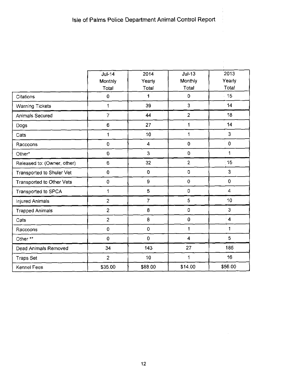$\frac{1}{4}$ 

 $\frac{1}{3}$ 

 $\hat{\mathcal{A}}$  $\bar{z}$ 

|                             | $Jul-14$            | 2014           | $Jul-13$       | 2013                    |
|-----------------------------|---------------------|----------------|----------------|-------------------------|
|                             | Monthly             | Yearly         | Monthly        | Yearly                  |
|                             | Total               | Total          | Total          | Total                   |
| Citations                   | 0                   | 1              | $\mathbf 0$    | 15                      |
| <b>Warning Tickets</b>      | 1                   | 39             | 3              | 14                      |
| Animals Secured             | $\overline{7}$      | 44             | $\overline{2}$ | 18                      |
| Dogs                        | 6                   | 27             | 1              | 14                      |
| Cats                        | $\mathbf 1$         | 10             | 1              | 3                       |
| Raccoons                    | $\mathsf D$         | 4              | $\mathbf 0$    | $\overline{0}$          |
| Other*                      | $\mathbf 0$         | 3              | $\mathbf 0$    | 1                       |
| Released to: (Owner, other) | 6                   | 32             | $\overline{2}$ | 15                      |
| Transported to Shuler Vet   | 0                   | $\pmb{0}$      | $\mathbf 0$    | 3                       |
| Transported to Other Vets   | 0                   | 9              | $\mathbf 0$    | $\mathbf 0$             |
| Transported to SPCA         | $\mathbf 1$         | 5              | 0              | $\overline{4}$          |
| <b>Injured Animals</b>      | $\overline{c}$      | $\overline{7}$ | 5              | 10                      |
| <b>Trapped Animals</b>      | $\overline{c}$      | 8              | 0              | 3                       |
| Cats                        | $\overline{c}$      | 8              | $\mathbf 0$    | $\overline{\mathbf{4}}$ |
| Raccoons                    | $\mathsf{O}\xspace$ | 0              | 1              | 1                       |
| Other **                    | 0                   | 0              | $\overline{4}$ | $\overline{5}$          |
| Dead Animals Removed        | 34                  | 143            | 27             | 185                     |
| Traps Set                   | $\overline{2}$      | 10             | 1              | 16                      |
| Kennel Fees                 | \$35.00             | \$88.00        | \$14.00        | \$56.00                 |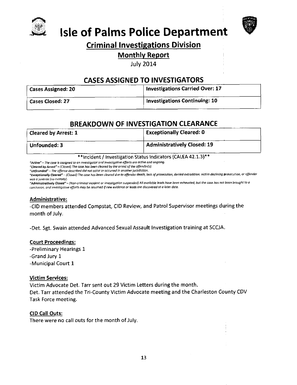



## **Isle of Palms Police Department**

### **Criminal Investigations Division**

### **Monthly Report**

**July 2014** 

### **CASES ASSIGNED TO INVESTIGATORS**

| <b>Cases Assigned: 20</b>     | Investigations Carried Over: 17      |
|-------------------------------|--------------------------------------|
| <sup>i</sup> Cases Closed: 27 | <b>Investigations Continuing: 10</b> |

### **BREAKDOWN OF INVESTIGATION CLEARANCE**

| <b>Cleared by Arrest: 1</b> | $^{\dagger}$ Exceptionally Cleared: 0 |
|-----------------------------|---------------------------------------|
| Unfounded: 3                | Administratively Closed: 19           |

\*\* Incident / Investigation Status Indicators (CALEA 42.1.3)\*\*

"Active" - The case is assigned to an investigator and investigative efforts are active and ongoing.

"Cleared by Arrest" - (Closed) The case has been cleared by the arrest of the offender(s).

"Unfounded" - The offense described did not occur or occurred in another jurisdiction.

"Exceptionally Cleared" - (Closed) The case has been cleared due to offender death, lack of prosecution, denied extradition, victim declining prosecution, or offender was a juvenile (no custody).

"Administratively Closed" – (Non-criminal incident or investigation suspended) All available leads have been exhausted, but the case has not been brought to a conclusion, and investigative efforts may be resumed if new evidence or leads are discovered at a later date.

#### Administrative:

-CID members attended Compstat, CID Review, and Patrol Supervisor meetings during the month of July.

-Det. Sgt. Swain attended Advanced Sexual Assault Investigation training at SCCJA.

#### **Court Proceedings:**

-Preliminary Hearings 1

-Grand Jury 1

-Municipal Court 1

#### **Victim Services:**

Victim Advocate Det. Tarr sent out 29 Victim Letters during the month. Det. Tarr attended the Tri-County Victim Advocate meeting and the Charleston County CDV Task Force meeting.

#### CID Call Outs:

There were no call outs for the month of July.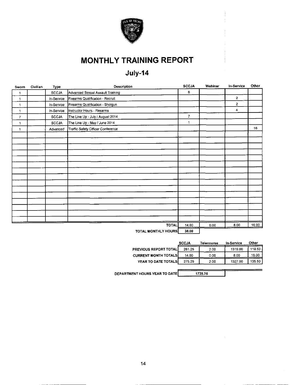

### **MONTHLY TRAINING REPORT**

### July-14

| Sworn | Civilian | Type         | Description                       | <b>SCCJA</b>   | Webinar | In-Service     | Other |
|-------|----------|--------------|-----------------------------------|----------------|---------|----------------|-------|
| 1     |          | <b>SCCJA</b> | Advanced Sexual Assault Training  | 6              |         |                |       |
| 1     |          | In-Service   | Firearms Qualification - Recruit  |                |         | $\overline{2}$ |       |
| 1     |          | In-Service   | Firearms Qualification - Shotgun  |                |         | $\mathbf{2}$   |       |
| 1     |          | In-Service   | Instructor Hours - Firearms       |                |         | 4              |       |
| 7     |          | <b>SCCJA</b> | The Line Up - July / August 2014  | $\overline{7}$ |         |                |       |
| 1     |          | <b>SCCJA</b> | The Line Up - May / June 2014     | $\mathbf{1}$   |         |                |       |
| 1     |          | Advanced     | Traffic Safety Officer Conference |                |         |                | 16    |
|       |          |              |                                   |                |         |                |       |
|       |          |              |                                   |                |         |                |       |
|       |          |              |                                   |                |         |                |       |
|       |          |              |                                   |                |         |                |       |
|       |          |              |                                   |                |         |                |       |
|       |          |              |                                   |                |         |                |       |
|       |          |              |                                   |                |         |                |       |
|       |          |              |                                   |                |         |                |       |
|       |          |              |                                   |                |         |                |       |
|       |          |              |                                   |                |         |                |       |
|       |          |              |                                   |                |         |                |       |
|       |          |              |                                   |                |         |                |       |
|       |          |              |                                   |                |         |                |       |
|       |          |              |                                   |                |         |                |       |
|       |          |              |                                   |                |         |                |       |
|       |          |              | <b>TOTAL</b>                      | 14.00          | 0.00    | 8.00           | 16.00 |
|       |          |              | TOTAL MONTHLY HOURS               | 38.00          |         |                |       |

|                              | <b>SCCJA</b> | Telecourse | <b>In-Service</b> | Other  |
|------------------------------|--------------|------------|-------------------|--------|
| <b>PREVIOUS REPORT TOTAL</b> | 261.25       | 2.00       | 1319.00           | 119.50 |
| <b>CURRENT MONTH TOTALS</b>  | 14.00        | 0.00       | 8.00              | 16.00  |
| YEAR TO DATE TOTALS          | 275.25       | 2.00       | 1327.00           | 135.50 |
|                              |              |            |                   |        |

 $\frac{1}{1739.75}$ 

DEPARTMENT HOURS YEAR TO DATE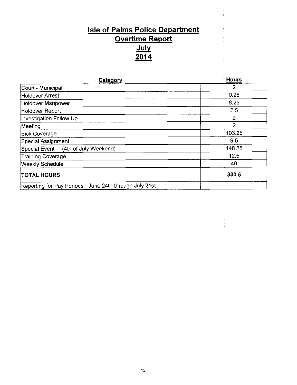# **Isle of Palms Police Department** Overtime Report  $\frac{July}{2014}$

| Category                                                | <b>Hours</b>   |
|---------------------------------------------------------|----------------|
| Court - Municipal                                       |                |
| Holdover Arrest                                         | 0.25           |
| Holdover Manpower                                       | 8.25           |
| Holdover Report                                         | 2.5            |
| Investigation Follow Up                                 | 2              |
| Meeting                                                 | $\overline{2}$ |
| Sick Coverage                                           | 103.25         |
| Special Assignment                                      | 9.5            |
| Special Event (4th of July Weekend)                     | 148.25         |
| Training Coverage                                       | 12.5           |
| <b>Weekly Schedule</b>                                  | 40             |
| <b>TOTAL HOURS</b>                                      | 330.5          |
| Reporting for Pay Periods - June 24th through July 21st |                |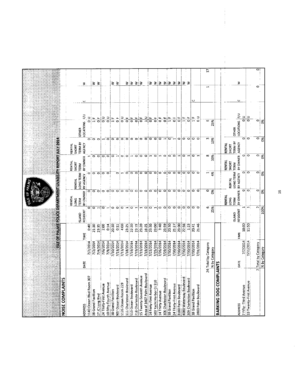| NOISE COMPLAINTS                             |                                         |                     |                                                   |                                      | <b>SLEOFPALMSPONGEDEPARTMENT UVABILITY REPORT JULY 2014</b> |                                     |                                                 |                                           |                 |        |   |
|----------------------------------------------|-----------------------------------------|---------------------|---------------------------------------------------|--------------------------------------|-------------------------------------------------------------|-------------------------------------|-------------------------------------------------|-------------------------------------------|-----------------|--------|---|
|                                              |                                         |                     | SLAND                                             | RENTAL<br>LONG<br>TERM               | LONG TERM TERM<br>RENTAL                                    | RENTAL<br><b>SHORT</b><br>$\bar{z}$ | <b>TERM BY</b><br><b>RENTAL</b><br><b>SHORT</b> | <b>OTHER</b>                              |                 |        |   |
| 1140 Ocean Blvd Room 307<br><b>ADDRESS</b>   | 7/2/2014<br>DATE                        | 0.40<br>TIME        | ۰<br>RESIDENT                                     | 0<br>BY OWNER                        | 0<br>BY AGENCY                                              | BY OWNER                            | AGENCY                                          | ξ<br>$\frac{1}{5}$<br>LOCATIONS           | Ο               | ₹      |   |
| 38 Grand Pavillion                           | 7/2/2014                                | 21.30               | $\bullet$                                         |                                      | $\circ$                                                     | $\circ$                             | ojo                                             | $\overline{ }$<br>$\overline{\mathbf{r}}$ |                 | 3      |   |
| 17 JC Long Blvd                              | 7/4/2014                                | 23:35               | Ηj                                                | $\circ$ $\circ$                      | $\circ$                                                     | $\circ$                             | $\circ$                                         | خبا<br>୦                                  |                 | 3      |   |
| 24 Thirty-First Avenue                       | 7/6/2014                                | 2:50                | $\circ$                                           |                                      | $\circ$                                                     | o                                   |                                                 | 응                                         | ÷               |        |   |
| 10 Fifty-Fourth Avenue                       | 7/9/2014                                | 0:14                | $\overline{\phantom{a}}$ $\overline{\phantom{a}}$ | ၀ ၀ ၀                                |                                                             | $\circ$                             | $\circ$                                         | $\frac{1}{\circ}$                         |                 |        |   |
| 38 Grand Pavillion                           | 7/10/2014                               | 20:30               |                                                   |                                      |                                                             | ۰                                   | ۰                                               | $\frac{1}{11}$                            |                 | 3.     |   |
| 1126 Ocean Room 229<br>907 Ocean Boulevard   | 7/13/2014<br>7/13/2014                  | $rac{6}{4}$<br>0:11 | ۰<br>$\circ$                                      | $\circ$                              | $\circ$                                                     | $\overline{\phantom{0}}$            | $\circ$                                         | 링<br>$\overline{0}$                       |                 | 3      |   |
| 111 Charleston Boulevard                     | 7/18/2014                               | 23:25               |                                                   |                                      | ⊣⊺o                                                         | 00                                  | $\circ$ $\circ$                                 | $\frac{1}{\mathbf{Q}}$                    | $\frac{1}{\pi}$ | ₹      |   |
| 510 Ocean Boulevard                          | 7/19/2014                               | 22:20               | $\overline{a}$ lo $\overline{a}$                  | $\circ$ olo o                        | $\circ$                                                     | $\blacksquare$                      | ö                                               | $\frac{1}{\mathbf{0}}$                    |                 | 3      |   |
| 218 Charlesotn Boulevard                     | 7/19/2014                               | 23:19               |                                                   |                                      | $\circ$                                                     | $\circ$                             | $\circ$                                         | $\frac{1}{\mathbf{Q}}$                    |                 |        |   |
| 15 Twenty-Seventh Avenue                     | 7/19/2014                               | 23:20               |                                                   | $\circ$ $\circ$                      | $\bullet$                                                   | $\bullet$                           | ö                                               | щ<br>ਠ                                    |                 | 3!3    |   |
| Area of 3407 Palm Boulevard                  | 7/19/2014                               | 16:25               | $\blacksquare$                                    |                                      | $\circ$                                                     | $\circ$                             | $\circ$                                         | ∍<br>$\overline{1}$                       |                 |        |   |
| 14 Forty-First Avenue                        | 7/22/2014                               | 23:30               | $\circ$ $\sim$                                    | $\circ$                              | $\circ$                                                     | ⊣                                   | ۰                                               | щ<br>$\overline{\bullet}$                 |                 | 3.     |   |
| 500 Yacht Harbor Ct 510                      | 7/25/2014                               | 23:00               |                                                   | $\circ$                              | $\circ$                                                     | $\circ$                             | $\circ$                                         | ٥Ĕ                                        |                 | 3      |   |
| 14 Thirty Avenue                             | 7/26/2014                               | 3:40                | $\bullet$                                         | $\circ$ . $\circ$                    | $\circ$ $\circ$                                             | $\blacksquare$                      | ۰                                               | ٥ŗ                                        |                 | 3      |   |
| 306 Charleston Boulevard                     | 7/29/2014                               | 23:59               | $\circ$                                           |                                      |                                                             | ۰                                   | $\blacksquare$                                  | $\frac{1}{\sigma}$                        |                 | 3      |   |
| 24 Thirty-First Avenue<br>38 Grand Pavillion | 7/30/2014<br>1/30/2014                  | 20:30<br>21:27      | $\circ$<br>$\circ$                                | $\circ$ $\circ$                      | $\bullet$<br>ြ                                              | ေခ                                  | o÷                                              | $\frac{1}{1}$<br>$\frac{1}{\mathbf{Q}}$   |                 | 3<br>3 |   |
| 3100 Palm Boulevard                          | 1/30/2014                               | 23:00               | oj                                                |                                      | ۰                                                           | ᆏ                                   | 0                                               | щ<br>$\overline{\bullet}$                 |                 | 3      |   |
| 4000 Waterway Boulevard                      | 7/30/2014                               | 22:56               | $\circ$                                           | $\overline{\circ}$ io                | $\circ$                                                     | ۰                                   | ۰                                               | $\frac{\mu}{\pi}$                         |                 | ₹      |   |
| 309 Charleston Boulevard                     | 7/30/2014                               | 1:23                | $\circ$                                           | $\circ$                              | $\circ$                                                     | $\cdot$                             | $\circ$                                         | щ<br>$\overline{\circ}$                   |                 | '3     |   |
| 38 Grand Pavillion                           | 7/30/2014                               | 20:41               | $\circ$                                           |                                      | $\circ$                                                     | o                                   | ۰                                               | $\frac{1}{11}$                            | $\cup$          |        |   |
| 2803 Palm Boulevard                          | 7/31/2014                               | 21:46               | $\circ$                                           | $\circ$ $\circ$                      |                                                             | <b>T</b>                            | $\circ$                                         | ∍<br>$\ddot{\phantom{0}}$                 |                 |        |   |
|                                              | 24   Total by Category                  |                     | 6                                                 | 0                                    | $\overline{\phantom{0}}$                                    | ω                                   | m                                               | ω                                         |                 | ⊣      | Ξ |
|                                              | % by Category                           |                     | 25%                                               | š                                    | ź,                                                          | 3%                                  | 13%                                             | 25%                                       |                 |        |   |
| <b>BARKING DOG COMPL</b>                     | <b>AINTS</b>                            |                     |                                                   |                                      |                                                             |                                     |                                                 |                                           |                 |        |   |
|                                              |                                         |                     | <b>GIAND</b>                                      | <b>RENTAL</b><br><b>LONG</b><br>TERM | LONG TERM TERM<br>RENTAL                                    | RENTAL<br>SHORT                     | <b>TERM BY</b><br>RENTAL<br><b>SHORT</b>        | <b>OTHER</b>                              |                 |        |   |
| <b>ADDRESS</b>                               | DATE                                    | TIME                | RESIDENT                                          | BY OWNER                             | BY AGENCY                                                   | BY OWNER                            | AGENCY                                          | LOCATIONS F/U                             | $\cup$          | 3      |   |
| 7 Fifty-Third Avenue                         | 7/7/2014                                | 18:00               | $\mathbf{\mathbf{t}}$                             | $\circ$                              | $\circ$                                                     | $\circ$                             | $\circ$                                         | $\frac{1}{6}$                             |                 |        |   |
| 33 Twenty-First Avenue                       | 7/11/2014                               | 11:50               | H                                                 | $\circ$                              | $\circ$                                                     | $\circ$                             | $\circ$                                         | $\Rightarrow$<br>$\overline{\circ}$       |                 |        |   |
|                                              | Total by Category<br>$\mathbf{\bar{z}}$ |                     | Z                                                 | $\circ$                              | o                                                           | $\circ$                             |                                                 | 0                                         |                 | ۰      | 0 |
|                                              | % by Category                           |                     | 100%                                              | Ŏ%                                   | $\infty$                                                    | Š,                                  | ं हु                                            | O%                                        |                 |        |   |

 $\frac{16}{16}$